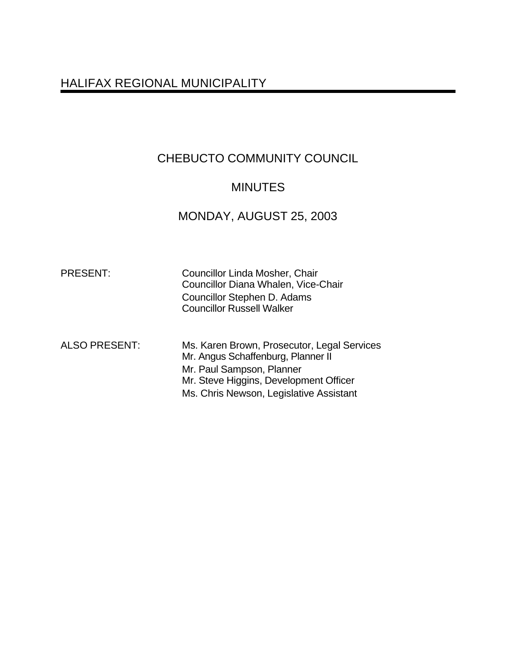# HALIFAX REGIONAL MUNICIPALITY

# CHEBUCTO COMMUNITY COUNCIL

## **MINUTES**

## MONDAY, AUGUST 25, 2003

Councillor Linda Mosher, Chair Councillor Diana Whalen, Vice-Chair Councillor Stephen D. Adams Councillor Russell Walker

ALSO PRESENT: Ms. Karen Brown, Prosecutor, Legal Services Mr. Angus Schaffenburg, Planner II Mr. Paul Sampson, Planner Mr. Steve Higgins, Development Officer Ms. Chris Newson, Legislative Assistant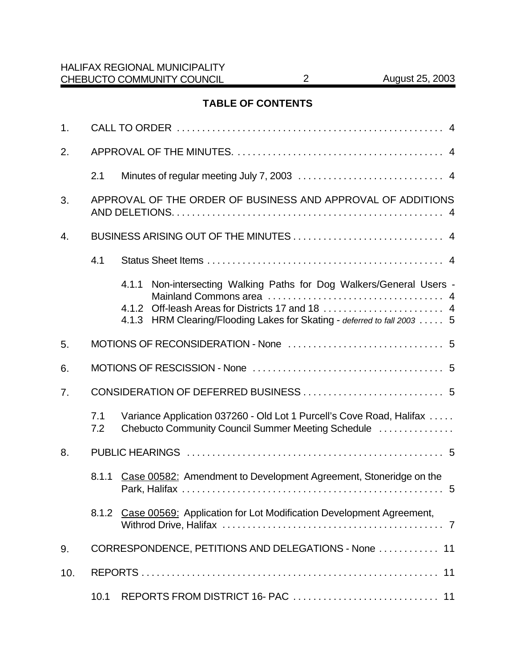## **TABLE OF CONTENTS**

| 1.  |                                                      |                                                                                                                                                                                                      |  |  |  |  |  |
|-----|------------------------------------------------------|------------------------------------------------------------------------------------------------------------------------------------------------------------------------------------------------------|--|--|--|--|--|
| 2.  |                                                      |                                                                                                                                                                                                      |  |  |  |  |  |
|     | 2.1                                                  |                                                                                                                                                                                                      |  |  |  |  |  |
| 3.  |                                                      | APPROVAL OF THE ORDER OF BUSINESS AND APPROVAL OF ADDITIONS                                                                                                                                          |  |  |  |  |  |
| 4.  |                                                      |                                                                                                                                                                                                      |  |  |  |  |  |
|     | 4.1                                                  |                                                                                                                                                                                                      |  |  |  |  |  |
|     |                                                      | 4.1.1 Non-intersecting Walking Paths for Dog Walkers/General Users -<br>4.1.2 Off-leash Areas for Districts 17 and 18  4<br>4.1.3 HRM Clearing/Flooding Lakes for Skating - deferred to fall 2003  5 |  |  |  |  |  |
| 5.  |                                                      |                                                                                                                                                                                                      |  |  |  |  |  |
| 6.  |                                                      |                                                                                                                                                                                                      |  |  |  |  |  |
| 7.  |                                                      |                                                                                                                                                                                                      |  |  |  |  |  |
|     | 7.1<br>7.2                                           | Variance Application 037260 - Old Lot 1 Purcell's Cove Road, Halifax<br>Chebucto Community Council Summer Meeting Schedule                                                                           |  |  |  |  |  |
| 8.  |                                                      |                                                                                                                                                                                                      |  |  |  |  |  |
|     | 8.1.1                                                | Case 00582: Amendment to Development Agreement, Stoneridge on the                                                                                                                                    |  |  |  |  |  |
|     |                                                      | 8.1.2 Case 00569: Application for Lot Modification Development Agreement,                                                                                                                            |  |  |  |  |  |
| 9.  | CORRESPONDENCE, PETITIONS AND DELEGATIONS - None  11 |                                                                                                                                                                                                      |  |  |  |  |  |
| 10. | 11                                                   |                                                                                                                                                                                                      |  |  |  |  |  |
|     | 10.1                                                 |                                                                                                                                                                                                      |  |  |  |  |  |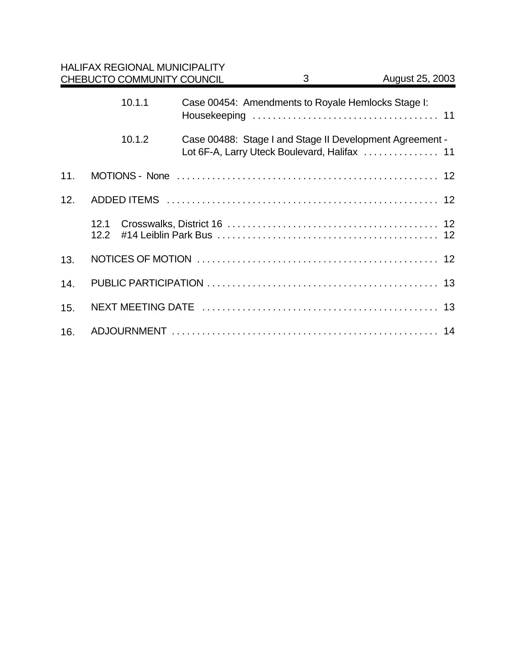|     |              | <b>HALIFAX REGIONAL MUNICIPALITY</b><br>CHEBUCTO COMMUNITY COUNCIL |  | 3                                                  | August 25, 2003                                          |  |  |
|-----|--------------|--------------------------------------------------------------------|--|----------------------------------------------------|----------------------------------------------------------|--|--|
|     |              | 10.1.1                                                             |  | Case 00454: Amendments to Royale Hemlocks Stage I: |                                                          |  |  |
|     |              | 10.1.2                                                             |  |                                                    | Case 00488: Stage I and Stage II Development Agreement - |  |  |
| 11. |              |                                                                    |  |                                                    |                                                          |  |  |
| 12. |              |                                                                    |  |                                                    |                                                          |  |  |
|     | 12.1<br>12.2 |                                                                    |  |                                                    |                                                          |  |  |
| 13. |              |                                                                    |  |                                                    |                                                          |  |  |
| 14. |              |                                                                    |  |                                                    |                                                          |  |  |
| 15. |              |                                                                    |  |                                                    |                                                          |  |  |
| 16. |              |                                                                    |  |                                                    |                                                          |  |  |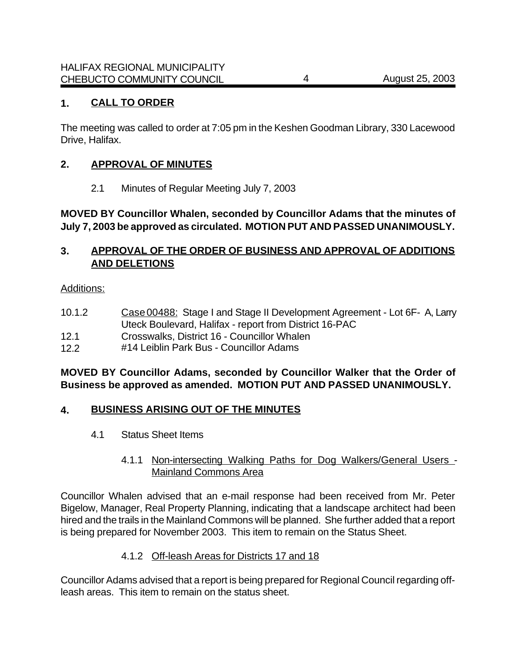## **1. CALL TO ORDER**

The meeting was called to order at 7:05 pm in the Keshen Goodman Library, 330 Lacewood Drive, Halifax.

#### **2. APPROVAL OF MINUTES**

2.1 Minutes of Regular Meeting July 7, 2003

### **MOVED BY Councillor Whalen, seconded by Councillor Adams that the minutes of July 7, 2003 be approved as circulated. MOTION PUT AND PASSED UNANIMOUSLY.**

## **3. APPROVAL OF THE ORDER OF BUSINESS AND APPROVAL OF ADDITIONS AND DELETIONS**

#### Additions:

- 10.1.2 Case 00488: Stage I and Stage II Development Agreement Lot 6F- A, Larry Uteck Boulevard, Halifax - report from District 16-PAC
- 12.1 Crosswalks, District 16 Councillor Whalen
- 12.2 #14 Leiblin Park Bus Councillor Adams

### **MOVED BY Councillor Adams, seconded by Councillor Walker that the Order of Business be approved as amended. MOTION PUT AND PASSED UNANIMOUSLY.**

#### **4. BUSINESS ARISING OUT OF THE MINUTES**

- 4.1 Status Sheet Items
	- 4.1.1 Non-intersecting Walking Paths for Dog Walkers/General Users Mainland Commons Area

Councillor Whalen advised that an e-mail response had been received from Mr. Peter Bigelow, Manager, Real Property Planning, indicating that a landscape architect had been hired and the trails in the Mainland Commons will be planned. She further added that a report is being prepared for November 2003. This item to remain on the Status Sheet.

#### 4.1.2 Off-leash Areas for Districts 17 and 18

Councillor Adams advised that a report is being prepared for Regional Council regarding offleash areas. This item to remain on the status sheet.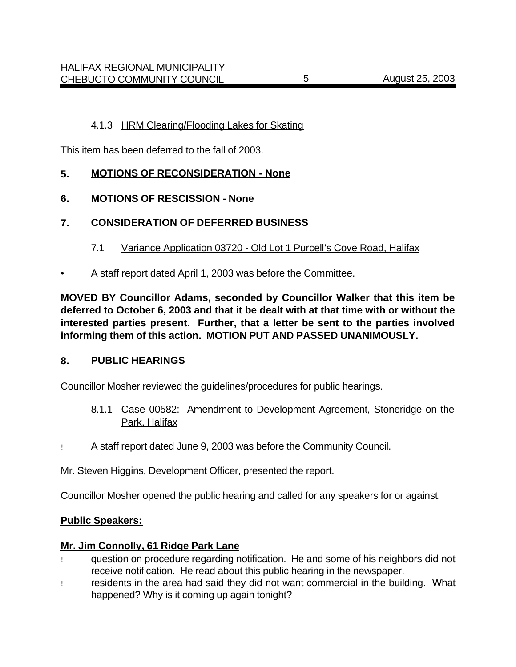This item has been deferred to the fall of 2003.

## **5. MOTIONS OF RECONSIDERATION - None**

## **6. MOTIONS OF RESCISSION - None**

## **7. CONSIDERATION OF DEFERRED BUSINESS**

- 7.1 Variance Application 03720 Old Lot 1 Purcell's Cove Road, Halifax
- A staff report dated April 1, 2003 was before the Committee.

**MOVED BY Councillor Adams, seconded by Councillor Walker that this item be deferred to October 6, 2003 and that it be dealt with at that time with or without the interested parties present. Further, that a letter be sent to the parties involved informing them of this action. MOTION PUT AND PASSED UNANIMOUSLY.**

#### **8. PUBLIC HEARINGS**

Councillor Mosher reviewed the guidelines/procedures for public hearings.

- 8.1.1 Case 00582: Amendment to Development Agreement, Stoneridge on the Park, Halifax
- ! A staff report dated June 9, 2003 was before the Community Council.

Mr. Steven Higgins, Development Officer, presented the report.

Councillor Mosher opened the public hearing and called for any speakers for or against.

#### **Public Speakers:**

#### **Mr. Jim Connolly, 61 Ridge Park Lane**

- ! question on procedure regarding notification. He and some of his neighbors did not receive notification. He read about this public hearing in the newspaper.
- ! residents in the area had said they did not want commercial in the building. What happened? Why is it coming up again tonight?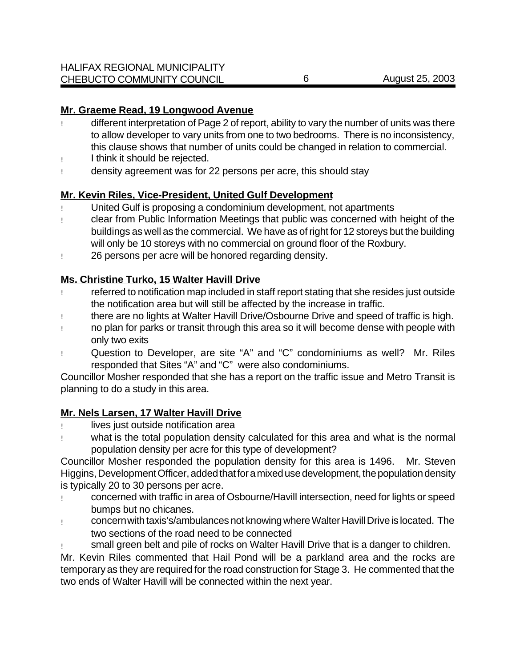## **Mr. Graeme Read, 19 Longwood Avenue**

- ! different interpretation of Page 2 of report, ability to vary the number of units was there to allow developer to vary units from one to two bedrooms. There is no inconsistency, this clause shows that number of units could be changed in relation to commercial.
- ! I think it should be rejected.
- ! density agreement was for 22 persons per acre, this should stay

## **Mr. Kevin Riles, Vice-President, United Gulf Development**

- United Gulf is proposing a condominium development, not apartments
- ! clear from Public Information Meetings that public was concerned with height of the buildings as well as the commercial. We have as of right for 12 storeys but the building will only be 10 storeys with no commercial on ground floor of the Roxbury.
- ! 26 persons per acre will be honored regarding density.

## **Ms. Christine Turko, 15 Walter Havill Drive**

- ! referred to notification map included in staff report stating that she resides just outside the notification area but will still be affected by the increase in traffic.
- ! there are no lights at Walter Havill Drive/Osbourne Drive and speed of traffic is high.
- ! no plan for parks or transit through this area so it will become dense with people with only two exits
- ! Question to Developer, are site "A" and "C" condominiums as well? Mr. Riles responded that Sites "A" and "C" were also condominiums.

Councillor Mosher responded that she has a report on the traffic issue and Metro Transit is planning to do a study in this area.

## **Mr. Nels Larsen, 17 Walter Havill Drive**

- ! lives just outside notification area
- ! what is the total population density calculated for this area and what is the normal population density per acre for this type of development?

Councillor Mosher responded the population density for this area is 1496. Mr. Steven Higgins, Development Officer, added that for a mixed use development, the population density is typically 20 to 30 persons per acre.

- ! concerned with traffic in area of Osbourne/Havill intersection, need for lights or speed bumps but no chicanes.
- ! concern with taxis's/ambulances not knowing where Walter Havill Drive is located. The two sections of the road need to be connected
- small green belt and pile of rocks on Walter Havill Drive that is a danger to children.

Mr. Kevin Riles commented that Hail Pond will be a parkland area and the rocks are temporary as they are required for the road construction for Stage 3. He commented that the two ends of Walter Havill will be connected within the next year.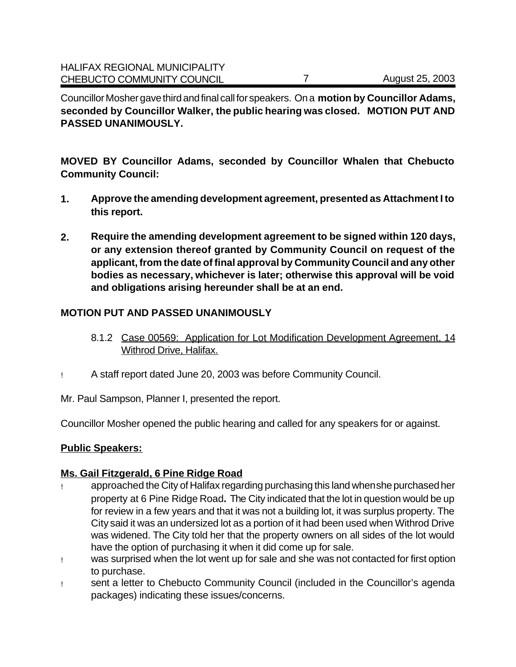Councillor Mosher gave third and final call for speakers. On a **motion by Councillor Adams, seconded by Councillor Walker, the public hearing was closed. MOTION PUT AND PASSED UNANIMOUSLY.**

**MOVED BY Councillor Adams, seconded by Councillor Whalen that Chebucto Community Council:**

- **1. Approve the amending development agreement, presented as Attachment I to this report.**
- **2. Require the amending development agreement to be signed within 120 days, or any extension thereof granted by Community Council on request of the applicant, from the date of final approval by Community Council and any other bodies as necessary, whichever is later; otherwise this approval will be void and obligations arising hereunder shall be at an end.**

## **MOTION PUT AND PASSED UNANIMOUSLY**

- 8.1.2 Case 00569: Application for Lot Modification Development Agreement, 14 Withrod Drive, Halifax.
- ! A staff report dated June 20, 2003 was before Community Council.

Mr. Paul Sampson, Planner I, presented the report.

Councillor Mosher opened the public hearing and called for any speakers for or against.

#### **Public Speakers:**

#### **Ms. Gail Fitzgerald, 6 Pine Ridge Road**

- ! approached the City of Halifax regarding purchasing this land when she purchased her property at 6 Pine Ridge Road**.** The City indicated that the lot in question would be up for review in a few years and that it was not a building lot, it was surplus property. The City said it was an undersized lot as a portion of it had been used when Withrod Drive was widened. The City told her that the property owners on all sides of the lot would have the option of purchasing it when it did come up for sale.
- ! was surprised when the lot went up for sale and she was not contacted for first option to purchase.
- ! sent a letter to Chebucto Community Council (included in the Councillor's agenda packages) indicating these issues/concerns.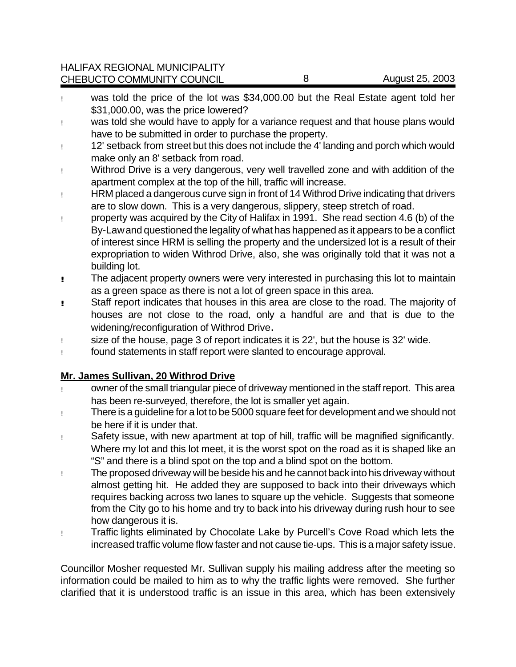HALIFAX REGIONAL MUNICIPALITY CHEBUCTO COMMUNITY COUNCIL 8 August 25, 2003

- ! was told the price of the lot was \$34,000.00 but the Real Estate agent told her \$31,000.00, was the price lowered?
- ! was told she would have to apply for a variance request and that house plans would have to be submitted in order to purchase the property.
- ! 12' setback from street but this does not include the 4' landing and porch which would make only an 8' setback from road.
- ! Withrod Drive is a very dangerous, very well travelled zone and with addition of the apartment complex at the top of the hill, traffic will increase.
- ! HRM placed a dangerous curve sign in front of 14 Withrod Drive indicating that drivers are to slow down. This is a very dangerous, slippery, steep stretch of road.
- ! property was acquired by the City of Halifax in 1991. She read section 4.6 (b) of the By-Law and questioned the legality of what has happened as it appears to be a conflict of interest since HRM is selling the property and the undersized lot is a result of their expropriation to widen Withrod Drive, also, she was originally told that it was not a building lot.
- **!** The adjacent property owners were very interested in purchasing this lot to maintain as a green space as there is not a lot of green space in this area.
- **!!** Staff report indicates that houses in this area are close to the road. The majority of houses are not close to the road, only a handful are and that is due to the widening/reconfiguration of Withrod Drive**.**
- ! size of the house, page 3 of report indicates it is 22', but the house is 32' wide.
- ! found statements in staff report were slanted to encourage approval.

## **Mr. James Sullivan, 20 Withrod Drive**

- ! owner of the small triangular piece of driveway mentioned in the staff report. This area has been re-surveyed, therefore, the lot is smaller yet again.
- ! There is a guideline for a lot to be 5000 square feet for development and we should not be here if it is under that.
- ! Safety issue, with new apartment at top of hill, traffic will be magnified significantly. Where my lot and this lot meet, it is the worst spot on the road as it is shaped like an "S" and there is a blind spot on the top and a blind spot on the bottom.
- ! The proposed driveway will be beside his and he cannot back into his driveway without almost getting hit. He added they are supposed to back into their driveways which requires backing across two lanes to square up the vehicle. Suggests that someone from the City go to his home and try to back into his driveway during rush hour to see how dangerous it is.
- ! Traffic lights eliminated by Chocolate Lake by Purcell's Cove Road which lets the increased traffic volume flow faster and not cause tie-ups. This is a major safety issue.

Councillor Mosher requested Mr. Sullivan supply his mailing address after the meeting so information could be mailed to him as to why the traffic lights were removed. She further clarified that it is understood traffic is an issue in this area, which has been extensively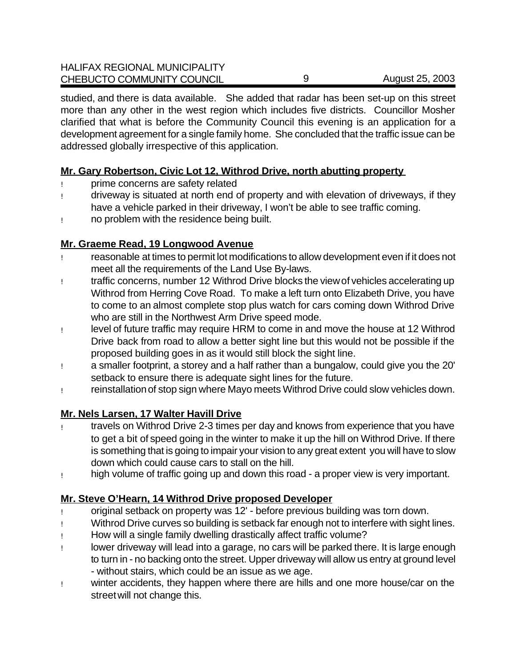studied, and there is data available. She added that radar has been set-up on this street more than any other in the west region which includes five districts. Councillor Mosher clarified that what is before the Community Council this evening is an application for a development agreement for a single family home. She concluded that the traffic issue can be addressed globally irrespective of this application.

## **Mr. Gary Robertson, Civic Lot 12, Withrod Drive, north abutting property**

- ! prime concerns are safety related
- ! driveway is situated at north end of property and with elevation of driveways, if they have a vehicle parked in their driveway, I won't be able to see traffic coming.
- ! no problem with the residence being built.

## **Mr. Graeme Read, 19 Longwood Avenue**

- ! reasonable at times to permit lot modifications to allow development even if it does not meet all the requirements of the Land Use By-laws.
- ! traffic concerns, number 12 Withrod Drive blocks the viewof vehicles accelerating up Withrod from Herring Cove Road. To make a left turn onto Elizabeth Drive, you have to come to an almost complete stop plus watch for cars coming down Withrod Drive who are still in the Northwest Arm Drive speed mode.
- ! level of future traffic may require HRM to come in and move the house at 12 Withrod Drive back from road to allow a better sight line but this would not be possible if the proposed building goes in as it would still block the sight line.
- ! a smaller footprint, a storey and a half rather than a bungalow, could give you the 20' setback to ensure there is adequate sight lines for the future.
- ! reinstallation of stop sign where Mayo meets Withrod Drive could slow vehicles down.

## **Mr. Nels Larsen, 17 Walter Havill Drive**

- ! travels on Withrod Drive 2-3 times per day and knows from experience that you have to get a bit of speed going in the winter to make it up the hill on Withrod Drive. If there is something that is going to impair your vision to any great extent you will have to slow down which could cause cars to stall on the hill.
- ! high volume of traffic going up and down this road a proper view is very important.

## **Mr. Steve O'Hearn, 14 Withrod Drive proposed Developer**

- ! original setback on property was 12' before previous building was torn down.
- ! Withrod Drive curves so building is setback far enough not to interfere with sight lines.
- ! How will a single family dwelling drastically affect traffic volume?
- ! lower driveway will lead into a garage, no cars will be parked there. It is large enough to turn in - no backing onto the street. Upper driveway will allow us entry at ground level - without stairs, which could be an issue as we age.
- ! winter accidents, they happen where there are hills and one more house/car on the streetwill not change this.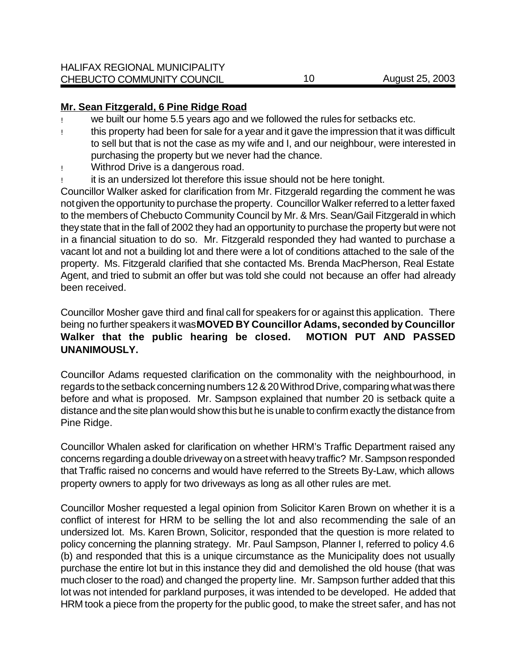#### **Mr. Sean Fitzgerald, 6 Pine Ridge Road**

- we built our home 5.5 years ago and we followed the rules for setbacks etc.
- ! this property had been for sale for a year and it gave the impression that it was difficult to sell but that is not the case as my wife and I, and our neighbour, were interested in purchasing the property but we never had the chance.
- ! Withrod Drive is a dangerous road.
- it is an undersized lot therefore this issue should not be here tonight.

Councillor Walker asked for clarification from Mr. Fitzgerald regarding the comment he was not given the opportunity to purchase the property. Councillor Walker referred to a letter faxed to the members of Chebucto Community Council by Mr. & Mrs. Sean/Gail Fitzgerald in which they state that in the fall of 2002 they had an opportunity to purchase the property but were not in a financial situation to do so. Mr. Fitzgerald responded they had wanted to purchase a vacant lot and not a building lot and there were a lot of conditions attached to the sale of the property. Ms. Fitzgerald clarified that she contacted Ms. Brenda MacPherson, Real Estate Agent, and tried to submit an offer but was told she could not because an offer had already been received.

Councillor Mosher gave third and final call for speakers for or against this application. There being no further speakers it was **MOVED BY Councillor Adams, seconded by Councillor Walker that the public hearing be closed. MOTION PUT AND PASSED UNANIMOUSLY.**

Councillor Adams requested clarification on the commonality with the neighbourhood, in regards to the setback concerning numbers 12 & 20 Withrod Drive, comparing what was there before and what is proposed. Mr. Sampson explained that number 20 is setback quite a distance and the site plan would show this but he is unable to confirm exactly the distance from Pine Ridge.

Councillor Whalen asked for clarification on whether HRM's Traffic Department raised any concerns regarding a double driveway on a street with heavy traffic? Mr. Sampson responded that Traffic raised no concerns and would have referred to the Streets By-Law, which allows property owners to apply for two driveways as long as all other rules are met.

Councillor Mosher requested a legal opinion from Solicitor Karen Brown on whether it is a conflict of interest for HRM to be selling the lot and also recommending the sale of an undersized lot. Ms. Karen Brown, Solicitor, responded that the question is more related to policy concerning the planning strategy. Mr. Paul Sampson, Planner I, referred to policy 4.6 (b) and responded that this is a unique circumstance as the Municipality does not usually purchase the entire lot but in this instance they did and demolished the old house (that was much closer to the road) and changed the property line. Mr. Sampson further added that this lot was not intended for parkland purposes, it was intended to be developed. He added that HRM took a piece from the property for the public good, to make the street safer, and has not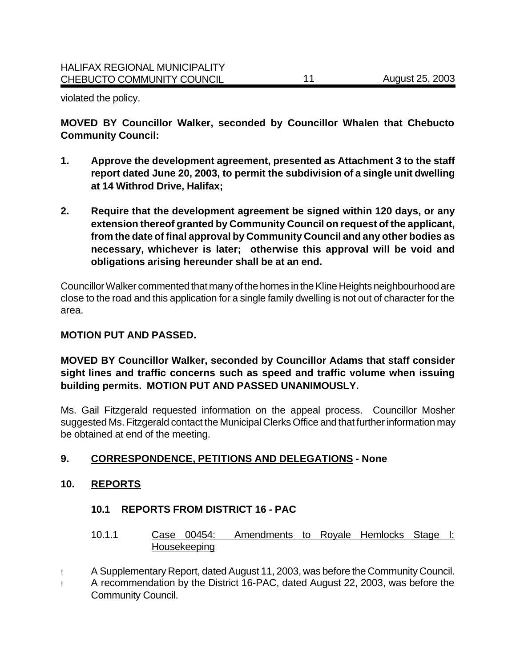violated the policy.

**MOVED BY Councillor Walker, seconded by Councillor Whalen that Chebucto Community Council:**

- **1. Approve the development agreement, presented as Attachment 3 to the staff report dated June 20, 2003, to permit the subdivision of a single unit dwelling at 14 Withrod Drive, Halifax;**
- **2. Require that the development agreement be signed within 120 days, or any extension thereof granted by Community Council on request of the applicant, from the date of final approval by Community Council and any other bodies as necessary, whichever is later; otherwise this approval will be void and obligations arising hereunder shall be at an end.**

Councillor Walker commented that many of the homes in the Kline Heights neighbourhood are close to the road and this application for a single family dwelling is not out of character for the area.

#### **MOTION PUT AND PASSED.**

**MOVED BY Councillor Walker, seconded by Councillor Adams that staff consider sight lines and traffic concerns such as speed and traffic volume when issuing building permits. MOTION PUT AND PASSED UNANIMOUSLY.**

Ms. Gail Fitzgerald requested information on the appeal process. Councillor Mosher suggested Ms. Fitzgerald contact the Municipal Clerks Office and that further information may be obtained at end of the meeting.

## **9. CORRESPONDENCE, PETITIONS AND DELEGATIONS - None**

#### **10. REPORTS**

#### **10.1 REPORTS FROM DISTRICT 16 - PAC**

- 10.1.1 Case 00454: Amendments to Royale Hemlocks Stage I: Housekeeping
- ! A Supplementary Report, dated August 11, 2003, was before the Community Council.
- ! A recommendation by the District 16-PAC, dated August 22, 2003, was before the Community Council.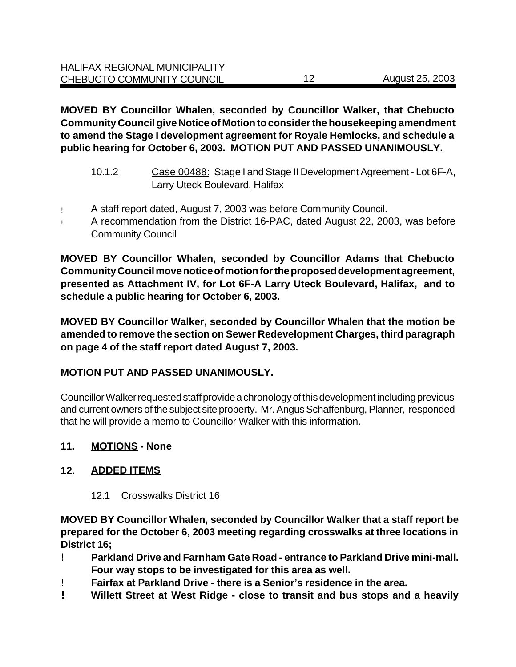**MOVED BY Councillor Whalen, seconded by Councillor Walker, that Chebucto Community Council give Notice of Motion to consider the housekeeping amendment to amend the Stage I development agreement for Royale Hemlocks, and schedule a public hearing for October 6, 2003. MOTION PUT AND PASSED UNANIMOUSLY.**

- 10.1.2 Case 00488: Stage I and Stage II Development Agreement Lot 6F-A, Larry Uteck Boulevard, Halifax
- ! A staff report dated, August 7, 2003 was before Community Council.
- ! A recommendation from the District 16-PAC, dated August 22, 2003, was before Community Council

**MOVED BY Councillor Whalen, seconded by Councillor Adams that Chebucto Community Council move notice of motion for the proposed development agreement, presented as Attachment IV, for Lot 6F-A Larry Uteck Boulevard, Halifax, and to schedule a public hearing for October 6, 2003.** 

**MOVED BY Councillor Walker, seconded by Councillor Whalen that the motion be amended to remove the section on Sewer Redevelopment Charges, third paragraph on page 4 of the staff report dated August 7, 2003.** 

## **MOTION PUT AND PASSED UNANIMOUSLY.**

Councillor Walker requested staff provide a chronology of this development including previous and current owners of the subject site property. Mr. Angus Schaffenburg, Planner, responded that he will provide a memo to Councillor Walker with this information.

#### **11. MOTIONS - None**

#### **12. ADDED ITEMS**

#### 12.1 Crosswalks District 16

**MOVED BY Councillor Whalen, seconded by Councillor Walker that a staff report be prepared for the October 6, 2003 meeting regarding crosswalks at three locations in District 16;**

- ! **Parkland Drive and Farnham Gate Road entrance to Parkland Drive mini-mall. Four way stops to be investigated for this area as well.**
- ! **Fairfax at Parkland Drive there is a Senior's residence in the area.**
- **! Willett Street at West Ridge close to transit and bus stops and a heavily**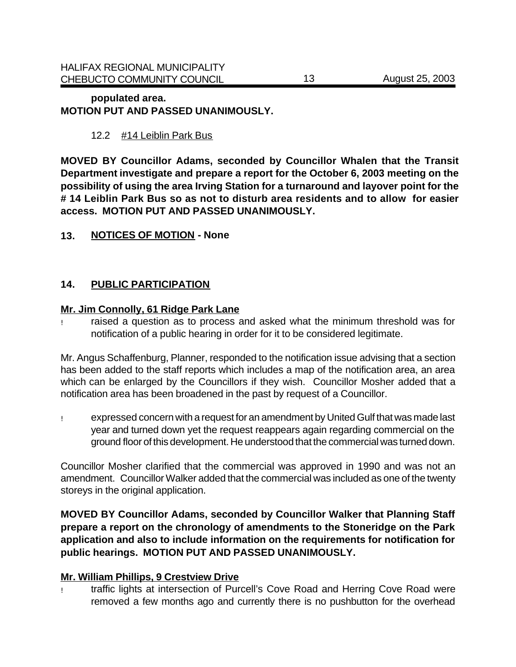#### **populated area. MOTION PUT AND PASSED UNANIMOUSLY.**

## 12.2 #14 Leiblin Park Bus

**MOVED BY Councillor Adams, seconded by Councillor Whalen that the Transit Department investigate and prepare a report for the October 6, 2003 meeting on the possibility of using the area Irving Station for a turnaround and layover point for the # 14 Leiblin Park Bus so as not to disturb area residents and to allow for easier access. MOTION PUT AND PASSED UNANIMOUSLY.**

### **13. NOTICES OF MOTION - None**

## **14. PUBLIC PARTICIPATION**

#### **Mr. Jim Connolly, 61 Ridge Park Lane**

! raised a question as to process and asked what the minimum threshold was for notification of a public hearing in order for it to be considered legitimate.

Mr. Angus Schaffenburg, Planner, responded to the notification issue advising that a section has been added to the staff reports which includes a map of the notification area, an area which can be enlarged by the Councillors if they wish. Councillor Mosher added that a notification area has been broadened in the past by request of a Councillor.

! expressed concern with a request for an amendment by United Gulf that was made last year and turned down yet the request reappears again regarding commercial on the ground floor of this development. He understood that the commercial was turned down.

Councillor Mosher clarified that the commercial was approved in 1990 and was not an amendment. Councillor Walker added that the commercial was included as one of the twenty storeys in the original application.

**MOVED BY Councillor Adams, seconded by Councillor Walker that Planning Staff prepare a report on the chronology of amendments to the Stoneridge on the Park application and also to include information on the requirements for notification for public hearings. MOTION PUT AND PASSED UNANIMOUSLY.**

#### **Mr. William Phillips, 9 Crestview Drive**

! traffic lights at intersection of Purcell's Cove Road and Herring Cove Road were removed a few months ago and currently there is no pushbutton for the overhead